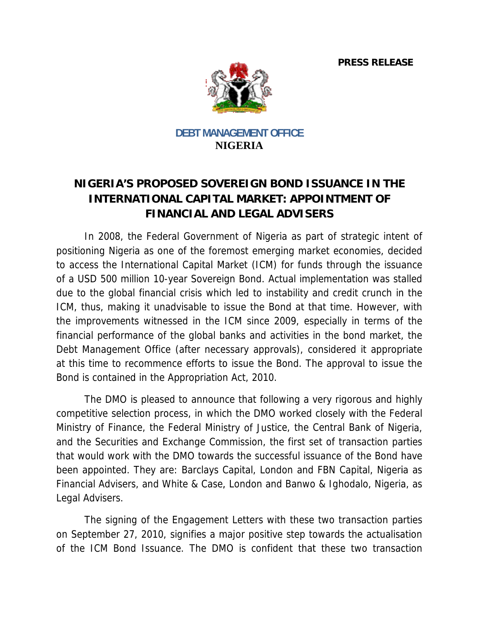**PRESS RELEASE** 



**DEBT MANAGEMENT OFFICE NIGERIA** 

## NIGERIA'S PROPOSED SOVEREIGN BOND ISSUANCE IN THE **INTERNATIONAL CAPITAL MARKET: APPOINTMENT OF FINANCIAL AND LEGAL ADVISERS**

In 2008, the Federal Government of Nigeria as part of strategic intent of positioning Nigeria as one of the foremost emerging market economies, decided to access the International Capital Market (ICM) for funds through the issuance of a USD 500 million 10-year Sovereign Bond. Actual implementation was stalled due to the global financial crisis which led to instability and credit crunch in the ICM, thus, making it unadvisable to issue the Bond at that time. However, with the improvements witnessed in the ICM since 2009, especially in terms of the financial performance of the global banks and activities in the bond market, the Debt Management Office (after necessary approvals), considered it appropriate at this time to recommence efforts to issue the Bond. The approval to issue the Bond is contained in the Appropriation Act, 2010.

The DMO is pleased to announce that following a very rigorous and highly competitive selection process, in which the DMO worked closely with the Federal Ministry of Finance, the Federal Ministry of Justice, the Central Bank of Nigeria, and the Securities and Exchange Commission, the first set of transaction parties that would work with the DMO towards the successful issuance of the Bond have been appointed. They are: Barclays Capital, London and FBN Capital, Nigeria as Financial Advisers, and White & Case, London and Banwo & Ighodalo, Nigeria, as Legal Advisers.

The signing of the Engagement Letters with these two transaction parties on September 27, 2010, signifies a major positive step towards the actualisation of the ICM Bond Issuance. The DMO is confident that these two transaction